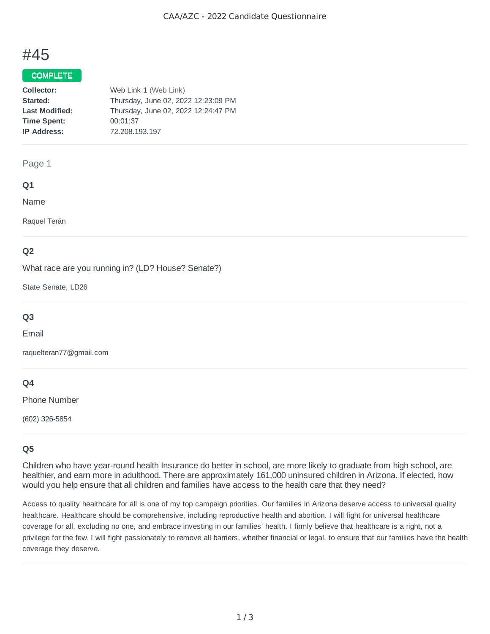# #45

## COMPLETE

| Collector:            | Web Link 1 (Web Link)               |
|-----------------------|-------------------------------------|
| Started:              | Thursday, June 02, 2022 12:23:09 PM |
| <b>Last Modified:</b> | Thursday, June 02, 2022 12:24:47 PM |
| <b>Time Spent:</b>    | 00:01:37                            |
| <b>IP Address:</b>    | 72.208.193.197                      |

#### Page 1

### **Q1**

Name

Raquel Terán

## **Q2**

What race are you running in? (LD? House? Senate?)

State Senate, LD26

## **Q3**

Email

raquelteran77@gmail.com

## **Q4**

Phone Number

(602) 326-5854

## **Q5**

Children who have year-round health Insurance do better in school, are more likely to graduate from high school, are healthier, and earn more in adulthood. There are approximately 161,000 uninsured children in Arizona. If elected, how would you help ensure that all children and families have access to the health care that they need?

Access to quality healthcare for all is one of my top campaign priorities. Our families in Arizona deserve access to universal quality healthcare. Healthcare should be comprehensive, including reproductive health and abortion. I will fight for universal healthcare coverage for all, excluding no one, and embrace investing in our families' health. I firmly believe that healthcare is a right, not a privilege for the few. I will fight passionately to remove all barriers, whether financial or legal, to ensure that our families have the health coverage they deserve.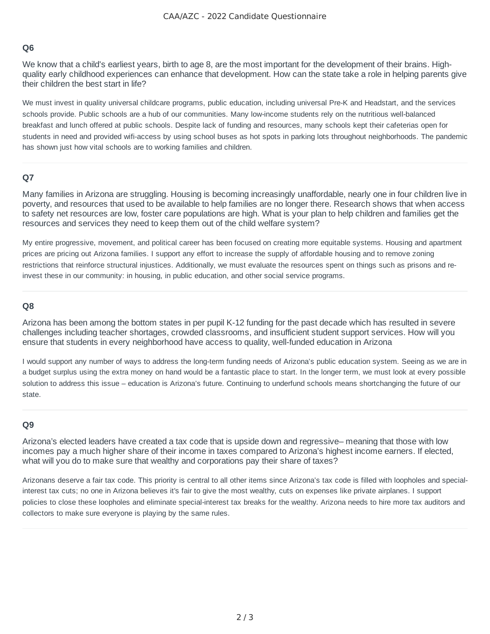## **Q6**

We know that a child's earliest years, birth to age 8, are the most important for the development of their brains. Highquality early childhood experiences can enhance that development. How can the state take a role in helping parents give their children the best start in life?

We must invest in quality universal childcare programs, public education, including universal Pre-K and Headstart, and the services schools provide. Public schools are a hub of our communities. Many low-income students rely on the nutritious well-balanced breakfast and lunch offered at public schools. Despite lack of funding and resources, many schools kept their cafeterias open for students in need and provided wifi-access by using school buses as hot spots in parking lots throughout neighborhoods. The pandemic has shown just how vital schools are to working families and children.

## **Q7**

Many families in Arizona are struggling. Housing is becoming increasingly unaffordable, nearly one in four children live in poverty, and resources that used to be available to help families are no longer there. Research shows that when access to safety net resources are low, foster care populations are high. What is your plan to help children and families get the resources and services they need to keep them out of the child welfare system?

My entire progressive, movement, and political career has been focused on creating more equitable systems. Housing and apartment prices are pricing out Arizona families. I support any effort to increase the supply of affordable housing and to remove zoning restrictions that reinforce structural injustices. Additionally, we must evaluate the resources spent on things such as prisons and reinvest these in our community: in housing, in public education, and other social service programs.

### **Q8**

Arizona has been among the bottom states in per pupil K-12 funding for the past decade which has resulted in severe challenges including teacher shortages, crowded classrooms, and insufficient student support services. How will you ensure that students in every neighborhood have access to quality, well-funded education in Arizona

I would support any number of ways to address the long-term funding needs of Arizona's public education system. Seeing as we are in a budget surplus using the extra money on hand would be a fantastic place to start. In the longer term, we must look at every possible solution to address this issue – education is Arizona's future. Continuing to underfund schools means shortchanging the future of our state.

### **Q9**

Arizona's elected leaders have created a tax code that is upside down and regressive– meaning that those with low incomes pay a much higher share of their income in taxes compared to Arizona's highest income earners. If elected, what will you do to make sure that wealthy and corporations pay their share of taxes?

Arizonans deserve a fair tax code. This priority is central to all other items since Arizona's tax code is filled with loopholes and specialinterest tax cuts; no one in Arizona believes it's fair to give the most wealthy, cuts on expenses like private airplanes. I support policies to close these loopholes and eliminate special-interest tax breaks for the wealthy. Arizona needs to hire more tax auditors and collectors to make sure everyone is playing by the same rules.